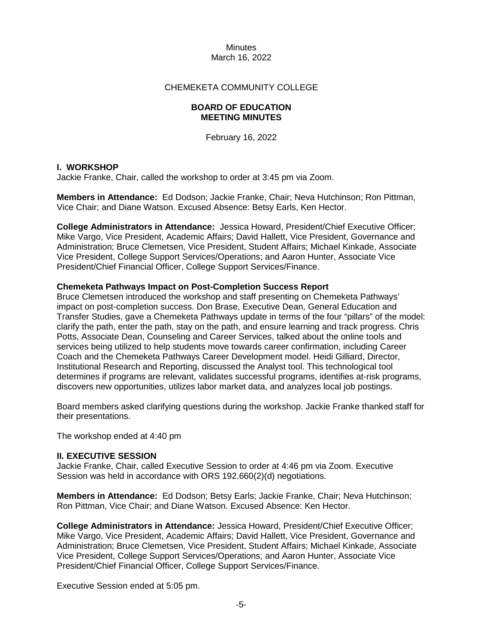## CHEMEKETA COMMUNITY COLLEGE

### **BOARD OF EDUCATION MEETING MINUTES**

February 16, 2022

## **I. WORKSHOP**

Jackie Franke, Chair, called the workshop to order at 3:45 pm via Zoom.

**Members in Attendance:** Ed Dodson; Jackie Franke, Chair; Neva Hutchinson; Ron Pittman, Vice Chair; and Diane Watson. Excused Absence: Betsy Earls, Ken Hector.

**College Administrators in Attendance:** Jessica Howard, President/Chief Executive Officer; Mike Vargo, Vice President, Academic Affairs; David Hallett, Vice President, Governance and Administration; Bruce Clemetsen, Vice President, Student Affairs; Michael Kinkade, Associate Vice President, College Support Services/Operations; and Aaron Hunter, Associate Vice President/Chief Financial Officer, College Support Services/Finance.

#### **Chemeketa Pathways Impact on Post-Completion Success Report**

Bruce Clemetsen introduced the workshop and staff presenting on Chemeketa Pathways' impact on post-completion success. Don Brase, Executive Dean, General Education and Transfer Studies, gave a Chemeketa Pathways update in terms of the four "pillars" of the model: clarify the path, enter the path, stay on the path, and ensure learning and track progress. Chris Potts, Associate Dean, Counseling and Career Services, talked about the online tools and services being utilized to help students move towards career confirmation, including Career Coach and the Chemeketa Pathways Career Development model. Heidi Gilliard, Director, Institutional Research and Reporting, discussed the Analyst tool. This technological tool determines if programs are relevant, validates successful programs, identifies at-risk programs, discovers new opportunities, utilizes labor market data, and analyzes local job postings.

Board members asked clarifying questions during the workshop. Jackie Franke thanked staff for their presentations.

The workshop ended at 4:40 pm

#### **II. EXECUTIVE SESSION**

Jackie Franke, Chair, called Executive Session to order at 4:46 pm via Zoom. Executive Session was held in accordance with ORS 192.660(2)(d) negotiations.

**Members in Attendance:** Ed Dodson; Betsy Earls; Jackie Franke, Chair; Neva Hutchinson; Ron Pittman, Vice Chair; and Diane Watson. Excused Absence: Ken Hector.

**College Administrators in Attendance:** Jessica Howard, President/Chief Executive Officer; Mike Vargo, Vice President, Academic Affairs; David Hallett, Vice President, Governance and Administration; Bruce Clemetsen, Vice President, Student Affairs; Michael Kinkade, Associate Vice President, College Support Services/Operations; and Aaron Hunter, Associate Vice President/Chief Financial Officer, College Support Services/Finance.

Executive Session ended at 5:05 pm.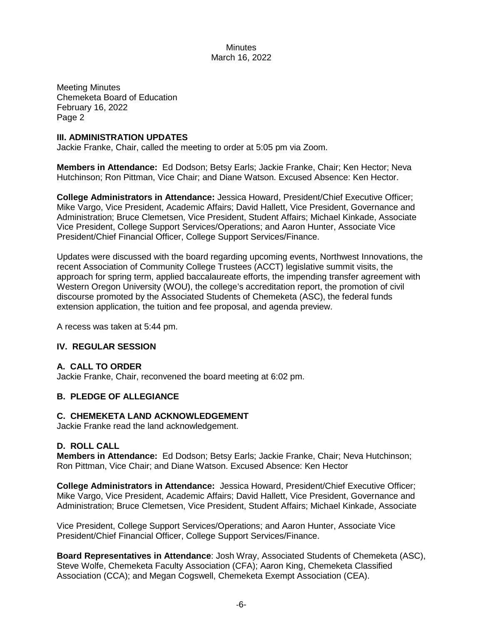Meeting Minutes Chemeketa Board of Education February 16, 2022 Page 2

### **III. ADMINISTRATION UPDATES**

Jackie Franke, Chair, called the meeting to order at 5:05 pm via Zoom.

**Members in Attendance:** Ed Dodson; Betsy Earls; Jackie Franke, Chair; Ken Hector; Neva Hutchinson; Ron Pittman, Vice Chair; and Diane Watson. Excused Absence: Ken Hector.

**College Administrators in Attendance:** Jessica Howard, President/Chief Executive Officer; Mike Vargo, Vice President, Academic Affairs; David Hallett, Vice President, Governance and Administration; Bruce Clemetsen, Vice President, Student Affairs; Michael Kinkade, Associate Vice President, College Support Services/Operations; and Aaron Hunter, Associate Vice President/Chief Financial Officer, College Support Services/Finance.

Updates were discussed with the board regarding upcoming events, Northwest Innovations, the recent Association of Community College Trustees (ACCT) legislative summit visits, the approach for spring term, applied baccalaureate efforts, the impending transfer agreement with Western Oregon University (WOU), the college's accreditation report, the promotion of civil discourse promoted by the Associated Students of Chemeketa (ASC), the federal funds extension application, the tuition and fee proposal, and agenda preview.

A recess was taken at 5:44 pm.

# **IV. REGULAR SESSION**

# **A. CALL TO ORDER**

Jackie Franke, Chair, reconvened the board meeting at 6:02 pm.

# **B. PLEDGE OF ALLEGIANCE**

#### **C. CHEMEKETA LAND ACKNOWLEDGEMENT**

Jackie Franke read the land acknowledgement.

#### **D. ROLL CALL**

**Members in Attendance:** Ed Dodson; Betsy Earls; Jackie Franke, Chair; Neva Hutchinson; Ron Pittman, Vice Chair; and Diane Watson. Excused Absence: Ken Hector

**College Administrators in Attendance:** Jessica Howard, President/Chief Executive Officer; Mike Vargo, Vice President, Academic Affairs; David Hallett, Vice President, Governance and Administration; Bruce Clemetsen, Vice President, Student Affairs; Michael Kinkade, Associate

Vice President, College Support Services/Operations; and Aaron Hunter, Associate Vice President/Chief Financial Officer, College Support Services/Finance.

**Board Representatives in Attendance**: Josh Wray, Associated Students of Chemeketa (ASC), Steve Wolfe, Chemeketa Faculty Association (CFA); Aaron King, Chemeketa Classified Association (CCA); and Megan Cogswell, Chemeketa Exempt Association (CEA).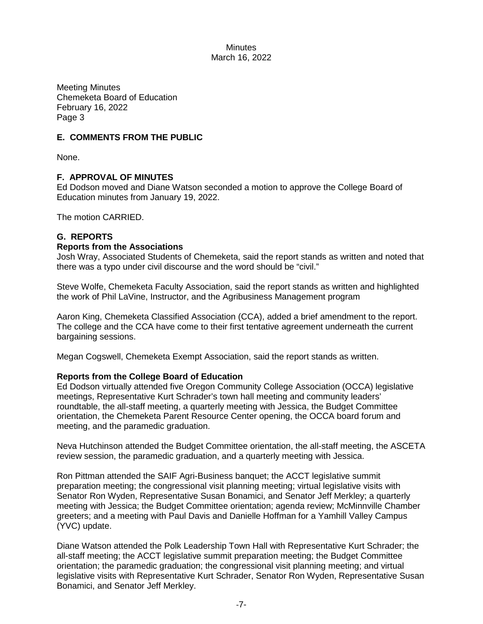Meeting Minutes Chemeketa Board of Education February 16, 2022 Page 3

# **E. COMMENTS FROM THE PUBLIC**

None.

# **F. APPROVAL OF MINUTES**

Ed Dodson moved and Diane Watson seconded a motion to approve the College Board of Education minutes from January 19, 2022.

The motion CARRIED.

## **G. REPORTS**

#### **Reports from the Associations**

Josh Wray, Associated Students of Chemeketa, said the report stands as written and noted that there was a typo under civil discourse and the word should be "civil."

Steve Wolfe, Chemeketa Faculty Association, said the report stands as written and highlighted the work of Phil LaVine, Instructor, and the Agribusiness Management program

Aaron King, Chemeketa Classified Association (CCA), added a brief amendment to the report. The college and the CCA have come to their first tentative agreement underneath the current bargaining sessions.

Megan Cogswell, Chemeketa Exempt Association, said the report stands as written.

#### **Reports from the College Board of Education**

Ed Dodson virtually attended five Oregon Community College Association (OCCA) legislative meetings, Representative Kurt Schrader's town hall meeting and community leaders' roundtable, the all-staff meeting, a quarterly meeting with Jessica, the Budget Committee orientation, the Chemeketa Parent Resource Center opening, the OCCA board forum and meeting, and the paramedic graduation.

Neva Hutchinson attended the Budget Committee orientation, the all-staff meeting, the ASCETA review session, the paramedic graduation, and a quarterly meeting with Jessica.

Ron Pittman attended the SAIF Agri-Business banquet; the ACCT legislative summit preparation meeting; the congressional visit planning meeting; virtual legislative visits with Senator Ron Wyden, Representative Susan Bonamici, and Senator Jeff Merkley; a quarterly meeting with Jessica; the Budget Committee orientation; agenda review; McMinnville Chamber greeters; and a meeting with Paul Davis and Danielle Hoffman for a Yamhill Valley Campus (YVC) update.

Diane Watson attended the Polk Leadership Town Hall with Representative Kurt Schrader; the all-staff meeting; the ACCT legislative summit preparation meeting; the Budget Committee orientation; the paramedic graduation; the congressional visit planning meeting; and virtual legislative visits with Representative Kurt Schrader, Senator Ron Wyden, Representative Susan Bonamici, and Senator Jeff Merkley.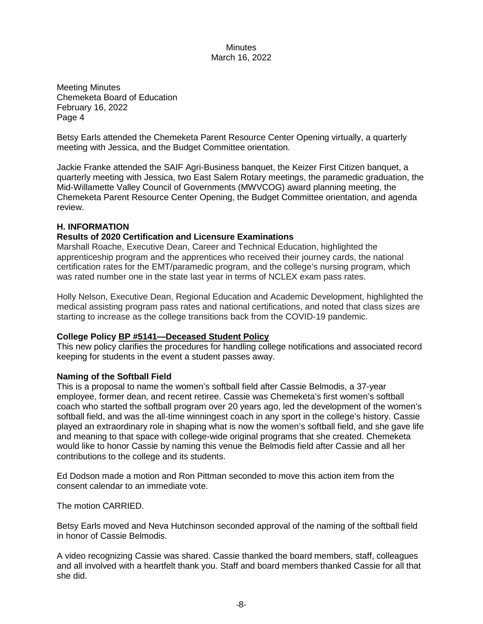Meeting Minutes Chemeketa Board of Education February 16, 2022 Page 4

Betsy Earls attended the Chemeketa Parent Resource Center Opening virtually, a quarterly meeting with Jessica, and the Budget Committee orientation.

Jackie Franke attended the SAIF Agri-Business banquet, the Keizer First Citizen banquet, a quarterly meeting with Jessica, two East Salem Rotary meetings, the paramedic graduation, the Mid-Willamette Valley Council of Governments (MWVCOG) award planning meeting, the Chemeketa Parent Resource Center Opening, the Budget Committee orientation, and agenda review.

## **H. INFORMATION**

## **Results of 2020 Certification and Licensure Examinations**

Marshall Roache, Executive Dean, Career and Technical Education, highlighted the apprenticeship program and the apprentices who received their journey cards, the national certification rates for the EMT/paramedic program, and the college's nursing program, which was rated number one in the state last year in terms of NCLEX exam pass rates.

Holly Nelson, Executive Dean, Regional Education and Academic Development, highlighted the medical assisting program pass rates and national certifications, and noted that class sizes are starting to increase as the college transitions back from the COVID-19 pandemic.

#### **College Policy BP #5141—Deceased Student Policy**

This new policy clarifies the procedures for handling college notifications and associated record keeping for students in the event a student passes away.

#### **Naming of the Softball Field**

This is a proposal to name the women's softball field after Cassie Belmodis, a 37-year employee, former dean, and recent retiree. Cassie was Chemeketa's first women's softball coach who started the softball program over 20 years ago, led the development of the women's softball field, and was the all-time winningest coach in any sport in the college's history. Cassie played an extraordinary role in shaping what is now the women's softball field, and she gave life and meaning to that space with college-wide original programs that she created. Chemeketa would like to honor Cassie by naming this venue the Belmodis field after Cassie and all her contributions to the college and its students.

Ed Dodson made a motion and Ron Pittman seconded to move this action item from the consent calendar to an immediate vote.

The motion CARRIED.

Betsy Earls moved and Neva Hutchinson seconded approval of the naming of the softball field in honor of Cassie Belmodis.

A video recognizing Cassie was shared. Cassie thanked the board members, staff, colleagues and all involved with a heartfelt thank you. Staff and board members thanked Cassie for all that she did.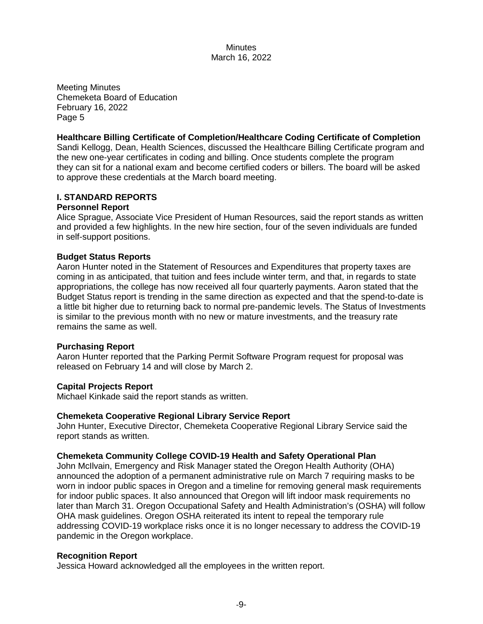Meeting Minutes Chemeketa Board of Education February 16, 2022 Page 5

## **Healthcare Billing Certificate of Completion/Healthcare Coding Certificate of Completion**

Sandi Kellogg, Dean, Health Sciences, discussed the Healthcare Billing Certificate program and the new one-year certificates in coding and billing. Once students complete the program they can sit for a national exam and become certified coders or billers. The board will be asked to approve these credentials at the March board meeting.

## **I. STANDARD REPORTS**

#### **Personnel Report**

Alice Sprague, Associate Vice President of Human Resources, said the report stands as written and provided a few highlights. In the new hire section, four of the seven individuals are funded in self-support positions.

#### **Budget Status Reports**

Aaron Hunter noted in the Statement of Resources and Expenditures that property taxes are coming in as anticipated, that tuition and fees include winter term, and that, in regards to state appropriations, the college has now received all four quarterly payments. Aaron stated that the Budget Status report is trending in the same direction as expected and that the spend-to-date is a little bit higher due to returning back to normal pre-pandemic levels. The Status of Investments is similar to the previous month with no new or mature investments, and the treasury rate remains the same as well.

#### **Purchasing Report**

Aaron Hunter reported that the Parking Permit Software Program request for proposal was released on February 14 and will close by March 2.

#### **Capital Projects Report**

Michael Kinkade said the report stands as written.

#### **Chemeketa Cooperative Regional Library Service Report**

John Hunter, Executive Director, Chemeketa Cooperative Regional Library Service said the report stands as written.

#### **Chemeketa Community College COVID-19 Health and Safety Operational Plan**

John McIlvain, Emergency and Risk Manager stated the Oregon Health Authority (OHA) announced the adoption of a permanent administrative rule on March 7 requiring masks to be worn in indoor public spaces in Oregon and a timeline for removing general mask requirements for indoor public spaces. It also announced that Oregon will lift indoor mask requirements no later than March 31. Oregon Occupational Safety and Health Administration's (OSHA) will follow OHA mask guidelines. Oregon OSHA reiterated its intent to repeal the temporary rule addressing COVID-19 workplace risks once it is no longer necessary to address the COVID-19 pandemic in the Oregon workplace.

## **Recognition Report**

Jessica Howard acknowledged all the employees in the written report.